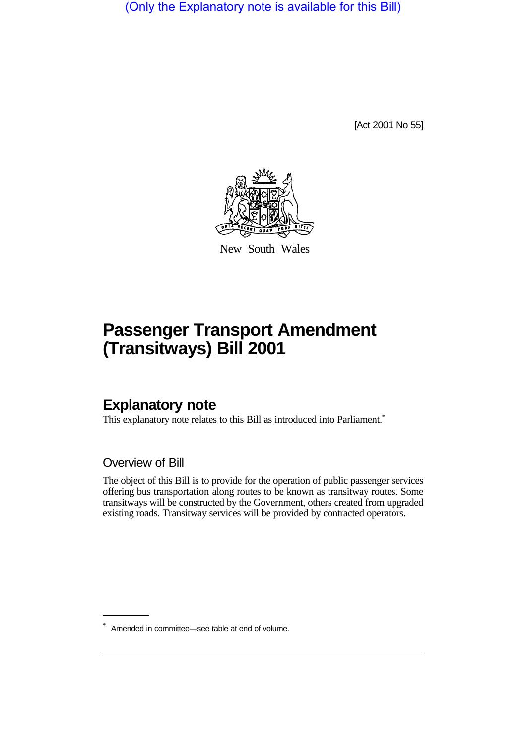(Only the Explanatory note is available for this Bill)

[Act 2001 No 55]



New South Wales

# **Passenger Transport Amendment (Transitways) Bill 2001**

# **Explanatory note**

This explanatory note relates to this Bill as introduced into Parliament.<sup>\*</sup>

Overview of Bill

The object of this Bill is to provide for the operation of public passenger services offering bus transportation along routes to be known as transitway routes. Some transitways will be constructed by the Government, others created from upgraded existing roads. Transitway services will be provided by contracted operators.

<sup>\*</sup> Amended in committee—see table at end of volume.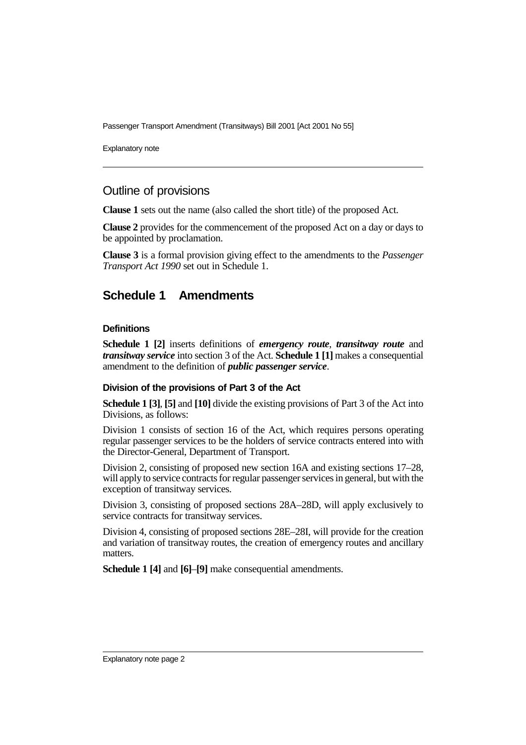Passenger Transport Amendment (Transitways) Bill 2001 [Act 2001 No 55]

Explanatory note

# Outline of provisions

**Clause 1** sets out the name (also called the short title) of the proposed Act.

**Clause 2** provides for the commencement of the proposed Act on a day or days to be appointed by proclamation.

**Clause 3** is a formal provision giving effect to the amendments to the *Passenger Transport Act 1990* set out in Schedule 1.

# **Schedule 1 Amendments**

## **Definitions**

**Schedule 1 [2]** inserts definitions of *emergency route*, *transitway route* and *transitway service* into section 3 of the Act. **Schedule 1 [1]** makes a consequential amendment to the definition of *public passenger service*.

## **Division of the provisions of Part 3 of the Act**

**Schedule 1 [3]**, **[5]** and **[10]** divide the existing provisions of Part 3 of the Act into Divisions, as follows:

Division 1 consists of section 16 of the Act, which requires persons operating regular passenger services to be the holders of service contracts entered into with the Director-General, Department of Transport.

Division 2, consisting of proposed new section 16A and existing sections 17–28, will apply to service contracts for regular passenger services in general, but with the exception of transitway services.

Division 3, consisting of proposed sections 28A–28D, will apply exclusively to service contracts for transitway services.

Division 4, consisting of proposed sections 28E–28I, will provide for the creation and variation of transitway routes, the creation of emergency routes and ancillary matters.

**Schedule 1 [4]** and **[6]**–**[9]** make consequential amendments.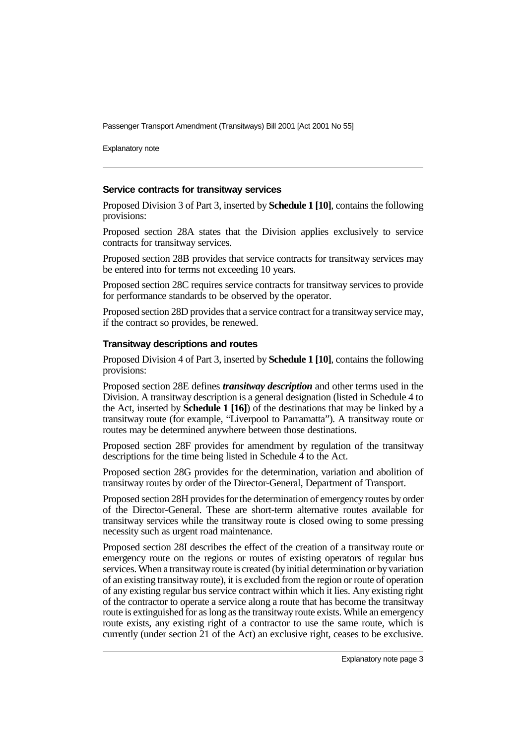Passenger Transport Amendment (Transitways) Bill 2001 [Act 2001 No 55]

Explanatory note

#### **Service contracts for transitway services**

Proposed Division 3 of Part 3, inserted by **Schedule 1 [10]**, contains the following provisions:

Proposed section 28A states that the Division applies exclusively to service contracts for transitway services.

Proposed section 28B provides that service contracts for transitway services may be entered into for terms not exceeding 10 years.

Proposed section 28C requires service contracts for transitway services to provide for performance standards to be observed by the operator.

Proposed section 28D provides that a service contract for a transitway service may, if the contract so provides, be renewed.

#### **Transitway descriptions and routes**

Proposed Division 4 of Part 3, inserted by **Schedule 1 [10]**, contains the following provisions:

Proposed section 28E defines *transitway description* and other terms used in the Division. A transitway description is a general designation (listed in Schedule 4 to the Act, inserted by **Schedule 1 [16]**) of the destinations that may be linked by a transitway route (for example, "Liverpool to Parramatta"). A transitway route or routes may be determined anywhere between those destinations.

Proposed section 28F provides for amendment by regulation of the transitway descriptions for the time being listed in Schedule 4 to the Act.

Proposed section 28G provides for the determination, variation and abolition of transitway routes by order of the Director-General, Department of Transport.

Proposed section 28H provides for the determination of emergency routes by order of the Director-General. These are short-term alternative routes available for transitway services while the transitway route is closed owing to some pressing necessity such as urgent road maintenance.

Proposed section 28I describes the effect of the creation of a transitway route or emergency route on the regions or routes of existing operators of regular bus services. When a transitway route is created (by initial determination or by variation of an existing transitway route), it is excluded from the region or route of operation of any existing regular bus service contract within which it lies. Any existing right of the contractor to operate a service along a route that has become the transitway route is extinguished for as long as the transitway route exists. While an emergency route exists, any existing right of a contractor to use the same route, which is currently (under section 21 of the Act) an exclusive right, ceases to be exclusive.